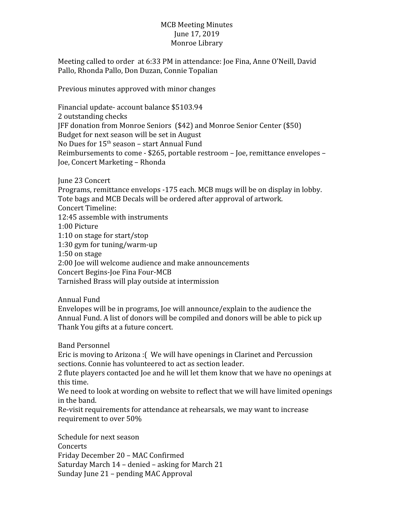## MCB Meeting Minutes June 17, 2019 Monroe Library

Meeting called to order at 6:33 PM in attendance: Joe Fina, Anne O'Neill, David Pallo, Rhonda Pallo, Don Duzan, Connie Topalian

Previous minutes approved with minor changes

Financial update- account balance \$5103.94 2 outstanding checks JFF donation from Monroe Seniors (\$42) and Monroe Senior Center (\$50) Budget for next season will be set in August No Dues for 15<sup>th</sup> season – start Annual Fund Reimbursements to come - \$265, portable restroom – Joe, remittance envelopes – Joe, Concert Marketing – Rhonda

June 23 Concert

Programs, remittance envelops -175 each. MCB mugs will be on display in lobby. Tote bags and MCB Decals will be ordered after approval of artwork. Concert Timeline: 12:45 assemble with instruments 1:00 Picture 1:10 on stage for start/stop 1:30 gym for tuning/warm-up 1:50 on stage 2:00 Joe will welcome audience and make announcements Concert Begins-Joe Fina Four-MCB Tarnished Brass will play outside at intermission

Annual Fund

Envelopes will be in programs, Joe will announce/explain to the audience the Annual Fund. A list of donors will be compiled and donors will be able to pick up Thank You gifts at a future concert.

Band Personnel

Eric is moving to Arizona :( We will have openings in Clarinet and Percussion sections. Connie has volunteered to act as section leader.

2 flute players contacted Joe and he will let them know that we have no openings at this time.

We need to look at wording on website to reflect that we will have limited openings in the band.

Re-visit requirements for attendance at rehearsals, we may want to increase requirement to over 50%

Schedule for next season **Concerts** Friday December 20 – MAC Confirmed Saturday March 14 – denied – asking for March 21 Sunday June 21 – pending MAC Approval